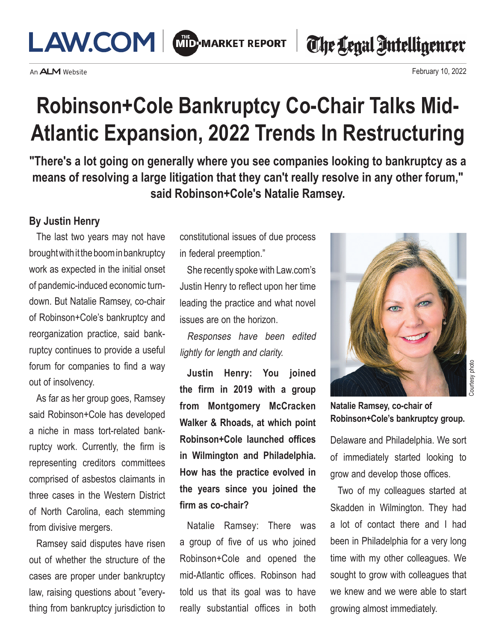

An **ALM** Website

The Legal Intelligencer

February 10, 2022

## **Robinson+Cole Bankruptcy Co-Chair Talks Mid-Atlantic Expansion, 2022 Trends In Restructuring**

**"There's a lot going on generally where you see companies looking to bankruptcy as a means of resolving a large litigation that they can't really resolve in any other forum," said Robinson+Cole's Natalie Ramsey.**

#### **By Justin Henry**

The last two years may not have brought with it the boom in bankruptcy work as expected in the initial onset of pandemic-induced economic turndown. But Natalie Ramsey, co-chair of Robinson+Cole's bankruptcy and reorganization practice, said bankruptcy continues to provide a useful forum for companies to find a way out of insolvency.

As far as her group goes, Ramsey said Robinson+Cole has developed a niche in mass tort-related bankruptcy work. Currently, the firm is representing creditors committees comprised of asbestos claimants in three cases in the Western District of North Carolina, each stemming from divisive mergers.

Ramsey said disputes have risen out of whether the structure of the cases are proper under bankruptcy law, raising questions about "everything from bankruptcy jurisdiction to

constitutional issues of due process in federal preemption."

She recently spoke with Law.com's Justin Henry to reflect upon her time leading the practice and what novel issues are on the horizon.

Responses have been edited lightly for length and clarity.

**Justin Henry: You joined the firm in 2019 with a group from Montgomery McCracken Walker & Rhoads, at which point Robinson+Cole launched offices in Wilmington and Philadelphia. How has the practice evolved in the years since you joined the firm as co-chair?**

Natalie Ramsey: There was a group of five of us who joined Robinson+Cole and opened the mid-Atlantic offices. Robinson had told us that its goal was to have really substantial offices in both



**Natalie Ramsey, co-chair of Robinson+Cole's bankruptcy group.**

Delaware and Philadelphia. We sort of immediately started looking to grow and develop those offices.

Two of my colleagues started at Skadden in Wilmington. They had a lot of contact there and I had been in Philadelphia for a very long time with my other colleagues. We sought to grow with colleagues that we knew and we were able to start growing almost immediately.